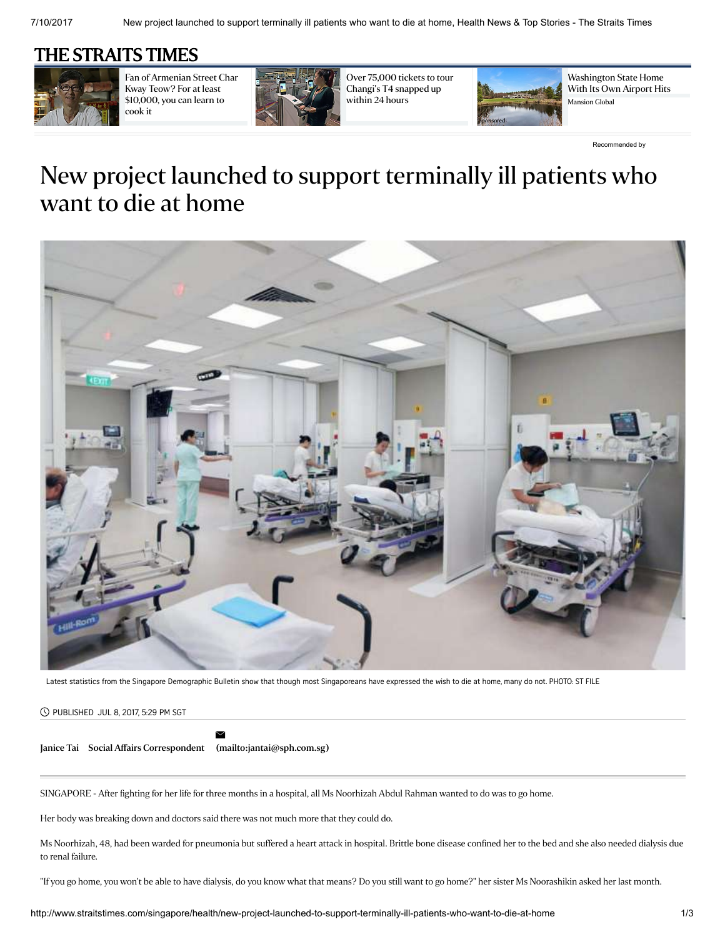## [THE STRAITS TIMES](http://www.straitstimes.com/)



Fan of [Armenian](http://www.straitstimes.com/singapore/hawker-offers-to-impart-skills-for-at-least-10k) Street Char Kway Teow? For at least \$10,000, you can learn to cook it



Over 75,000 tickets to tour [Changi's](http://www.straitstimes.com/singapore/over-75000-tickets-to-tour-changis-t4-snapped-up-within-24-hours) T4 snapped up within 24 hours



[Washington](http://www.mansionglobal.com/articles/56861-washington-state-home-with-its-own-airport-hits-market-for-20-million?mod=mansion_global_articles_en_wsj_home&mod=mansiongl_edit_outbrain_Dec) State Home With Its Own Airport Hits Mansion Global

[Recommended](http://www.outbrain.com/what-is/default/en) by

# New project launched to support terminally ill patients who want to die at home



Latest statistics from the Singapore Demographic Bulletin show that though most Singaporeans have expressed the wish to die at home, many do not. PHOTO: ST FILE

#### PUBLISHED JUL 8, 2017, 5:29 PM SGT

 $\geq$ 

[Janice](http://www.straitstimes.com/authors/janice-tai) Tai Social Affairs Correspondent [\(mailto:jantai@sph.com.sg\)](mailto:jantai@sph.com.sg)

SINGAPORE - After fighting for her life for three months in a hospital, all Ms Noorhizah Abdul Rahman wanted to do was to go home.

Her body was breaking down and doctors said there was not much more that they could do.

Ms Noorhizah, 48, had been warded for pneumonia but suffered a heart attack in hospital. Brittle bone disease confined her to the bed and she also needed dialysis due to renal failure.

"If you go home, you won't be able to have dialysis, do you know what that means? Do you still want to go home?" her sister Ms Noorashikin asked her last month.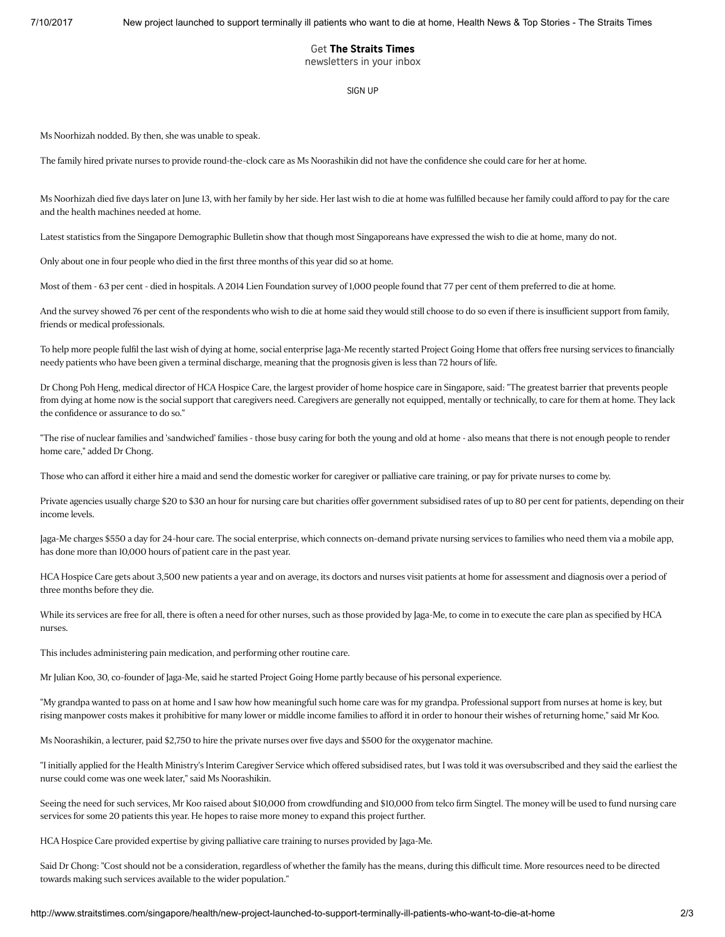### Get The Straits Times

newsletters in your inbox

#### [SIGN](http://www.straitstimes.com/newsletter-signup) UP

Ms Noorhizah nodded. By then, she was unable to speak.

The family hired private nurses to provide round-the-clock care as Ms Noorashikin did not have the confidence she could care for her at home.

Ms Noorhizah died five days later on June 13, with her family by her side. Her last wish to die at home was fulfilled because her family could afford to pay for the care and the health machines needed at home.

Latest statistics from the Singapore Demographic Bulletin show that though most Singaporeans have expressed the wish to die at home, many do not.

Only about one in four people who died in the first three months of this year did so at home.

Most of them - 63 per cent - died in hospitals. A 2014 Lien Foundation survey of 1,000 people found that 77 per cent of them preferred to die at home.

And the survey showed 76 per cent of the respondents who wish to die at home said they would still choose to do so even if there is insufficient support from family, friends or medical professionals.

To help more people fulfil the last wish of dying at home, social enterprise Jaga-Me recently started Project Going Home that offers free nursing services to financially needy patients who have been given a terminal discharge, meaning that the prognosis given is less than 72 hours of life.

Dr Chong Poh Heng, medical director of HCA Hospice Care, the largest provider of home hospice care in Singapore, said: "The greatest barrier that prevents people from dying at home now is the social support that caregivers need. Caregivers are generally not equipped, mentally or technically, to care for them at home. They lack the confidence or assurance to do so."

"The rise of nuclear families and 'sandwiched' families - those busy caring for both the young and old at home - also means that there is not enough people to render home care," added Dr Chong.

Those who can afford it either hire a maid and send the domestic worker for caregiver or palliative care training, or pay for private nurses to come by.

Private agencies usually charge \$20 to \$30 an hour for nursing care but charities offer government subsidised rates of up to 80 per cent for patients, depending on their income levels.

Jaga-Me charges \$550 a day for 24-hour care. The social enterprise, which connects on-demand private nursing services to families who need them via a mobile app, has done more than 10,000 hours of patient care in the past year.

HCA Hospice Care gets about 3,500 new patients a year and on average, its doctors and nurses visit patients at home for assessment and diagnosis over a period of three months before they die.

While its services are free for all, there is often a need for other nurses, such as those provided by Jaga-Me, to come in to execute the care plan as specified by HCA nurses.

This includes administering pain medication, and performing other routine care.

Mr Julian Koo, 30, co-founder of Jaga-Me, said he started Project Going Home partly because of his personal experience.

"My grandpa wanted to pass on at home and I saw how how meaningful such home care was for my grandpa. Professional support from nurses at home is key, but rising manpower costs makes it prohibitive for many lower or middle income families to afford it in order to honour their wishes of returning home," said Mr Koo.

Ms Noorashikin, a lecturer, paid \$2,750 to hire the private nurses over five days and \$500 for the oxygenator machine.

"I initially applied for the Health Ministry's Interim Caregiver Service which offered subsidised rates, but I was told it was oversubscribed and they said the earliest the nurse could come was one week later," said Ms Noorashikin.

Seeing the need for such services, Mr Koo raised about \$10,000 from crowdfunding and \$10,000 from telco firm Singtel. The money will be used to fund nursing care services for some 20 patients this year. He hopes to raise more money to expand this project further.

HCA Hospice Care provided expertise by giving palliative care training to nurses provided by Jaga-Me.

Said Dr Chong: "Cost should not be a consideration, regardless of whether the family has the means, during this difficult time. More resources need to be directed towards making such services available to the wider population."